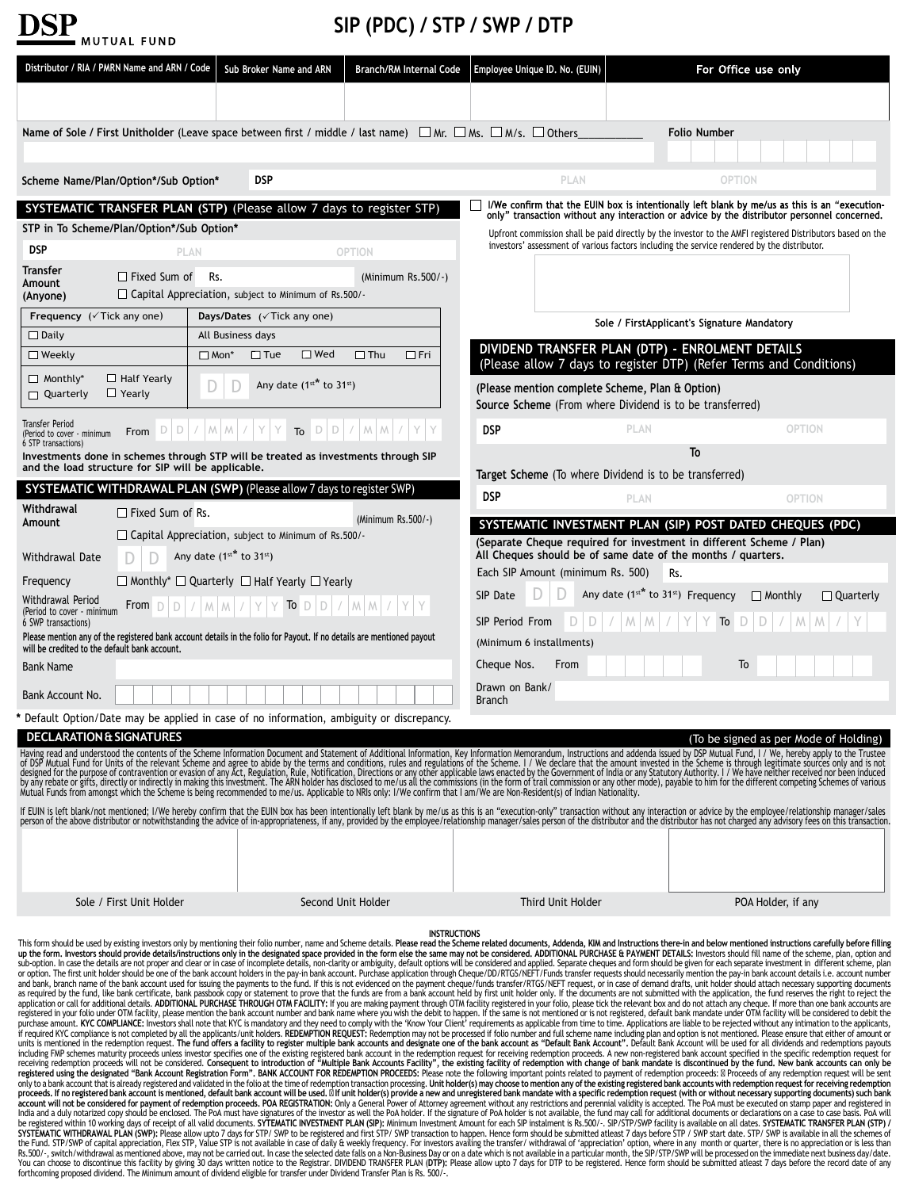| <b>DSP</b> |             |  |
|------------|-------------|--|
|            | MUTUAL FUND |  |

## **SIP (PDC) / STP / SWP / DTP**

| Distributor / RIA / PMRN Name and ARN / Code                                                                                                                            |                                     |                              | Sub Broker Name and ARN                                           | <b>Branch/RM Internal Code</b> |                     |                                             | Employee Unique ID. No. (EUIN)                                                                                         |                                             | For Office use only |                                                                                                                                                                                                                                                                                                                                                                                                                                                                                                                                                                                                                                                                                                                                                                                                                                                                                                                                                                                                                                                                                                                                                                                                                                                                                                                                                                                                                                                                                                                                                                                                                                                                                                                                                                                                                                                                                                                                                                                                                                                                                                                                                                                                                                                                                                                                                                                                                                                                                                                                                                                                                                                                                                                                                                                                                                                                                                                                                                                                                                                                                                                                                                                                                                                                                                                                                                                                                                                                                                                                                                                                                                                                                                                                                                                                                                                                                                                                                                                                                                                                                                                                                                                                                                 |
|-------------------------------------------------------------------------------------------------------------------------------------------------------------------------|-------------------------------------|------------------------------|-------------------------------------------------------------------|--------------------------------|---------------------|---------------------------------------------|------------------------------------------------------------------------------------------------------------------------|---------------------------------------------|---------------------|---------------------------------------------------------------------------------------------------------------------------------------------------------------------------------------------------------------------------------------------------------------------------------------------------------------------------------------------------------------------------------------------------------------------------------------------------------------------------------------------------------------------------------------------------------------------------------------------------------------------------------------------------------------------------------------------------------------------------------------------------------------------------------------------------------------------------------------------------------------------------------------------------------------------------------------------------------------------------------------------------------------------------------------------------------------------------------------------------------------------------------------------------------------------------------------------------------------------------------------------------------------------------------------------------------------------------------------------------------------------------------------------------------------------------------------------------------------------------------------------------------------------------------------------------------------------------------------------------------------------------------------------------------------------------------------------------------------------------------------------------------------------------------------------------------------------------------------------------------------------------------------------------------------------------------------------------------------------------------------------------------------------------------------------------------------------------------------------------------------------------------------------------------------------------------------------------------------------------------------------------------------------------------------------------------------------------------------------------------------------------------------------------------------------------------------------------------------------------------------------------------------------------------------------------------------------------------------------------------------------------------------------------------------------------------------------------------------------------------------------------------------------------------------------------------------------------------------------------------------------------------------------------------------------------------------------------------------------------------------------------------------------------------------------------------------------------------------------------------------------------------------------------------------------------------------------------------------------------------------------------------------------------------------------------------------------------------------------------------------------------------------------------------------------------------------------------------------------------------------------------------------------------------------------------------------------------------------------------------------------------------------------------------------------------------------------------------------------------------------------------------------------------------------------------------------------------------------------------------------------------------------------------------------------------------------------------------------------------------------------------------------------------------------------------------------------------------------------------------------------------------------------------------------------------------------------------------------------------------|
|                                                                                                                                                                         |                                     |                              |                                                                   |                                |                     |                                             |                                                                                                                        |                                             |                     |                                                                                                                                                                                                                                                                                                                                                                                                                                                                                                                                                                                                                                                                                                                                                                                                                                                                                                                                                                                                                                                                                                                                                                                                                                                                                                                                                                                                                                                                                                                                                                                                                                                                                                                                                                                                                                                                                                                                                                                                                                                                                                                                                                                                                                                                                                                                                                                                                                                                                                                                                                                                                                                                                                                                                                                                                                                                                                                                                                                                                                                                                                                                                                                                                                                                                                                                                                                                                                                                                                                                                                                                                                                                                                                                                                                                                                                                                                                                                                                                                                                                                                                                                                                                                                 |
| Name of Sole / First Unitholder (Leave space between first / middle / last name) $\Box$ Mr. $\Box$ Ms. $\Box$ M/s. $\Box$ Others                                        |                                     |                              |                                                                   |                                |                     |                                             |                                                                                                                        |                                             | <b>Folio Number</b> |                                                                                                                                                                                                                                                                                                                                                                                                                                                                                                                                                                                                                                                                                                                                                                                                                                                                                                                                                                                                                                                                                                                                                                                                                                                                                                                                                                                                                                                                                                                                                                                                                                                                                                                                                                                                                                                                                                                                                                                                                                                                                                                                                                                                                                                                                                                                                                                                                                                                                                                                                                                                                                                                                                                                                                                                                                                                                                                                                                                                                                                                                                                                                                                                                                                                                                                                                                                                                                                                                                                                                                                                                                                                                                                                                                                                                                                                                                                                                                                                                                                                                                                                                                                                                                 |
|                                                                                                                                                                         |                                     |                              |                                                                   |                                |                     |                                             |                                                                                                                        |                                             |                     |                                                                                                                                                                                                                                                                                                                                                                                                                                                                                                                                                                                                                                                                                                                                                                                                                                                                                                                                                                                                                                                                                                                                                                                                                                                                                                                                                                                                                                                                                                                                                                                                                                                                                                                                                                                                                                                                                                                                                                                                                                                                                                                                                                                                                                                                                                                                                                                                                                                                                                                                                                                                                                                                                                                                                                                                                                                                                                                                                                                                                                                                                                                                                                                                                                                                                                                                                                                                                                                                                                                                                                                                                                                                                                                                                                                                                                                                                                                                                                                                                                                                                                                                                                                                                                 |
| Scheme Name/Plan/Option*/Sub Option*                                                                                                                                    |                                     |                              | <b>DSP</b>                                                        |                                |                     |                                             | PLAN                                                                                                                   |                                             | OPTION              |                                                                                                                                                                                                                                                                                                                                                                                                                                                                                                                                                                                                                                                                                                                                                                                                                                                                                                                                                                                                                                                                                                                                                                                                                                                                                                                                                                                                                                                                                                                                                                                                                                                                                                                                                                                                                                                                                                                                                                                                                                                                                                                                                                                                                                                                                                                                                                                                                                                                                                                                                                                                                                                                                                                                                                                                                                                                                                                                                                                                                                                                                                                                                                                                                                                                                                                                                                                                                                                                                                                                                                                                                                                                                                                                                                                                                                                                                                                                                                                                                                                                                                                                                                                                                                 |
| SYSTEMATIC TRANSFER PLAN (STP) (Please allow 7 days to register STP)                                                                                                    |                                     |                              |                                                                   |                                |                     |                                             |                                                                                                                        |                                             |                     | I/We confirm that the EUIN box is intentionally left blank by me/us as this is an "execution-<br>only" transaction without any interaction or advice by the distributor personnel concerned.                                                                                                                                                                                                                                                                                                                                                                                                                                                                                                                                                                                                                                                                                                                                                                                                                                                                                                                                                                                                                                                                                                                                                                                                                                                                                                                                                                                                                                                                                                                                                                                                                                                                                                                                                                                                                                                                                                                                                                                                                                                                                                                                                                                                                                                                                                                                                                                                                                                                                                                                                                                                                                                                                                                                                                                                                                                                                                                                                                                                                                                                                                                                                                                                                                                                                                                                                                                                                                                                                                                                                                                                                                                                                                                                                                                                                                                                                                                                                                                                                                    |
| STP in To Scheme/Plan/Option*/Sub Option*                                                                                                                               |                                     |                              |                                                                   |                                |                     |                                             | investors' assessment of various factors including the service rendered by the distributor.                            |                                             |                     | Upfront commission shall be paid directly by the investor to the AMFI registered Distributors based on the                                                                                                                                                                                                                                                                                                                                                                                                                                                                                                                                                                                                                                                                                                                                                                                                                                                                                                                                                                                                                                                                                                                                                                                                                                                                                                                                                                                                                                                                                                                                                                                                                                                                                                                                                                                                                                                                                                                                                                                                                                                                                                                                                                                                                                                                                                                                                                                                                                                                                                                                                                                                                                                                                                                                                                                                                                                                                                                                                                                                                                                                                                                                                                                                                                                                                                                                                                                                                                                                                                                                                                                                                                                                                                                                                                                                                                                                                                                                                                                                                                                                                                                      |
| <b>DSP</b><br>Transfer                                                                                                                                                  |                                     | <b>PLAN</b>                  |                                                                   | <b>OPTION</b>                  |                     |                                             |                                                                                                                        |                                             |                     |                                                                                                                                                                                                                                                                                                                                                                                                                                                                                                                                                                                                                                                                                                                                                                                                                                                                                                                                                                                                                                                                                                                                                                                                                                                                                                                                                                                                                                                                                                                                                                                                                                                                                                                                                                                                                                                                                                                                                                                                                                                                                                                                                                                                                                                                                                                                                                                                                                                                                                                                                                                                                                                                                                                                                                                                                                                                                                                                                                                                                                                                                                                                                                                                                                                                                                                                                                                                                                                                                                                                                                                                                                                                                                                                                                                                                                                                                                                                                                                                                                                                                                                                                                                                                                 |
| Amount<br>(Anyone)                                                                                                                                                      | $\Box$ Fixed Sum of                 | Rs.                          | $\Box$ Capital Appreciation, subject to Minimum of Rs.500/-       | (Minimum $Rs.500/-$ )          |                     |                                             |                                                                                                                        |                                             |                     |                                                                                                                                                                                                                                                                                                                                                                                                                                                                                                                                                                                                                                                                                                                                                                                                                                                                                                                                                                                                                                                                                                                                                                                                                                                                                                                                                                                                                                                                                                                                                                                                                                                                                                                                                                                                                                                                                                                                                                                                                                                                                                                                                                                                                                                                                                                                                                                                                                                                                                                                                                                                                                                                                                                                                                                                                                                                                                                                                                                                                                                                                                                                                                                                                                                                                                                                                                                                                                                                                                                                                                                                                                                                                                                                                                                                                                                                                                                                                                                                                                                                                                                                                                                                                                 |
| Frequency ( $\sqrt{T}$ ick any one)                                                                                                                                     |                                     |                              | <b>Days/Dates</b> (√ Tick any one)                                |                                |                     |                                             |                                                                                                                        | Sole / FirstApplicant's Signature Mandatory |                     |                                                                                                                                                                                                                                                                                                                                                                                                                                                                                                                                                                                                                                                                                                                                                                                                                                                                                                                                                                                                                                                                                                                                                                                                                                                                                                                                                                                                                                                                                                                                                                                                                                                                                                                                                                                                                                                                                                                                                                                                                                                                                                                                                                                                                                                                                                                                                                                                                                                                                                                                                                                                                                                                                                                                                                                                                                                                                                                                                                                                                                                                                                                                                                                                                                                                                                                                                                                                                                                                                                                                                                                                                                                                                                                                                                                                                                                                                                                                                                                                                                                                                                                                                                                                                                 |
| $\Box$ Daily                                                                                                                                                            |                                     | All Business days            |                                                                   |                                |                     |                                             |                                                                                                                        |                                             |                     |                                                                                                                                                                                                                                                                                                                                                                                                                                                                                                                                                                                                                                                                                                                                                                                                                                                                                                                                                                                                                                                                                                                                                                                                                                                                                                                                                                                                                                                                                                                                                                                                                                                                                                                                                                                                                                                                                                                                                                                                                                                                                                                                                                                                                                                                                                                                                                                                                                                                                                                                                                                                                                                                                                                                                                                                                                                                                                                                                                                                                                                                                                                                                                                                                                                                                                                                                                                                                                                                                                                                                                                                                                                                                                                                                                                                                                                                                                                                                                                                                                                                                                                                                                                                                                 |
| $\Box$ Weekly                                                                                                                                                           |                                     | $\Box$ Mon*                  | $\Box$ Tue<br>$\square$ Wed                                       | $\Box$ Thu                     | $\Box$ Fri          |                                             | DIVIDEND TRANSFER PLAN (DTP) - ENROLMENT DETAILS<br>(Please allow 7 days to register DTP) (Refer Terms and Conditions) |                                             |                     |                                                                                                                                                                                                                                                                                                                                                                                                                                                                                                                                                                                                                                                                                                                                                                                                                                                                                                                                                                                                                                                                                                                                                                                                                                                                                                                                                                                                                                                                                                                                                                                                                                                                                                                                                                                                                                                                                                                                                                                                                                                                                                                                                                                                                                                                                                                                                                                                                                                                                                                                                                                                                                                                                                                                                                                                                                                                                                                                                                                                                                                                                                                                                                                                                                                                                                                                                                                                                                                                                                                                                                                                                                                                                                                                                                                                                                                                                                                                                                                                                                                                                                                                                                                                                                 |
| $\Box$ Monthly*<br>□ Quarterly                                                                                                                                          | $\Box$ Half Yearly<br>$\Box$ Yearly | D                            | Any date $(1^{st*}$ to 31st)                                      |                                |                     |                                             | (Please mention complete Scheme, Plan & Option)<br>Source Scheme (From where Dividend is to be transferred)            |                                             |                     |                                                                                                                                                                                                                                                                                                                                                                                                                                                                                                                                                                                                                                                                                                                                                                                                                                                                                                                                                                                                                                                                                                                                                                                                                                                                                                                                                                                                                                                                                                                                                                                                                                                                                                                                                                                                                                                                                                                                                                                                                                                                                                                                                                                                                                                                                                                                                                                                                                                                                                                                                                                                                                                                                                                                                                                                                                                                                                                                                                                                                                                                                                                                                                                                                                                                                                                                                                                                                                                                                                                                                                                                                                                                                                                                                                                                                                                                                                                                                                                                                                                                                                                                                                                                                                 |
| <b>Transfer Period</b><br>(Period to cover - minimum                                                                                                                    |                                     |                              | From $D  D  /  M M  /  Y $ $Y$ To $D  D  /  M M  /  $             |                                |                     | DSP                                         |                                                                                                                        | <b>PLAN</b>                                 |                     | <b>OPTION</b>                                                                                                                                                                                                                                                                                                                                                                                                                                                                                                                                                                                                                                                                                                                                                                                                                                                                                                                                                                                                                                                                                                                                                                                                                                                                                                                                                                                                                                                                                                                                                                                                                                                                                                                                                                                                                                                                                                                                                                                                                                                                                                                                                                                                                                                                                                                                                                                                                                                                                                                                                                                                                                                                                                                                                                                                                                                                                                                                                                                                                                                                                                                                                                                                                                                                                                                                                                                                                                                                                                                                                                                                                                                                                                                                                                                                                                                                                                                                                                                                                                                                                                                                                                                                                   |
| 6 STP transactions)<br>Investments done in schemes through STP will be treated as investments through SIP                                                               |                                     |                              |                                                                   |                                |                     |                                             |                                                                                                                        | To                                          |                     |                                                                                                                                                                                                                                                                                                                                                                                                                                                                                                                                                                                                                                                                                                                                                                                                                                                                                                                                                                                                                                                                                                                                                                                                                                                                                                                                                                                                                                                                                                                                                                                                                                                                                                                                                                                                                                                                                                                                                                                                                                                                                                                                                                                                                                                                                                                                                                                                                                                                                                                                                                                                                                                                                                                                                                                                                                                                                                                                                                                                                                                                                                                                                                                                                                                                                                                                                                                                                                                                                                                                                                                                                                                                                                                                                                                                                                                                                                                                                                                                                                                                                                                                                                                                                                 |
| and the load structure for SIP will be applicable.                                                                                                                      |                                     |                              |                                                                   |                                |                     |                                             | Target Scheme (To where Dividend is to be transferred)                                                                 |                                             |                     |                                                                                                                                                                                                                                                                                                                                                                                                                                                                                                                                                                                                                                                                                                                                                                                                                                                                                                                                                                                                                                                                                                                                                                                                                                                                                                                                                                                                                                                                                                                                                                                                                                                                                                                                                                                                                                                                                                                                                                                                                                                                                                                                                                                                                                                                                                                                                                                                                                                                                                                                                                                                                                                                                                                                                                                                                                                                                                                                                                                                                                                                                                                                                                                                                                                                                                                                                                                                                                                                                                                                                                                                                                                                                                                                                                                                                                                                                                                                                                                                                                                                                                                                                                                                                                 |
| SYSTEMATIC WITHDRAWAL PLAN (SWP) (Please allow 7 days to register SWP)                                                                                                  |                                     |                              |                                                                   |                                |                     | <b>DSP</b>                                  |                                                                                                                        | <b>PLAN</b>                                 |                     | <b>OPTION</b>                                                                                                                                                                                                                                                                                                                                                                                                                                                                                                                                                                                                                                                                                                                                                                                                                                                                                                                                                                                                                                                                                                                                                                                                                                                                                                                                                                                                                                                                                                                                                                                                                                                                                                                                                                                                                                                                                                                                                                                                                                                                                                                                                                                                                                                                                                                                                                                                                                                                                                                                                                                                                                                                                                                                                                                                                                                                                                                                                                                                                                                                                                                                                                                                                                                                                                                                                                                                                                                                                                                                                                                                                                                                                                                                                                                                                                                                                                                                                                                                                                                                                                                                                                                                                   |
| Withdrawal<br>Amount                                                                                                                                                    | $\Box$ Fixed Sum of Rs.             |                              |                                                                   | (Minimum Rs.500/-)             |                     |                                             |                                                                                                                        |                                             |                     | SYSTEMATIC INVESTMENT PLAN (SIP) POST DATED CHEQUES (PDC)                                                                                                                                                                                                                                                                                                                                                                                                                                                                                                                                                                                                                                                                                                                                                                                                                                                                                                                                                                                                                                                                                                                                                                                                                                                                                                                                                                                                                                                                                                                                                                                                                                                                                                                                                                                                                                                                                                                                                                                                                                                                                                                                                                                                                                                                                                                                                                                                                                                                                                                                                                                                                                                                                                                                                                                                                                                                                                                                                                                                                                                                                                                                                                                                                                                                                                                                                                                                                                                                                                                                                                                                                                                                                                                                                                                                                                                                                                                                                                                                                                                                                                                                                                       |
|                                                                                                                                                                         |                                     |                              | $\Box$ Capital Appreciation, subject to Minimum of Rs.500/-       |                                |                     |                                             | (Separate Cheque required for investment in different Scheme / Plan)                                                   |                                             |                     |                                                                                                                                                                                                                                                                                                                                                                                                                                                                                                                                                                                                                                                                                                                                                                                                                                                                                                                                                                                                                                                                                                                                                                                                                                                                                                                                                                                                                                                                                                                                                                                                                                                                                                                                                                                                                                                                                                                                                                                                                                                                                                                                                                                                                                                                                                                                                                                                                                                                                                                                                                                                                                                                                                                                                                                                                                                                                                                                                                                                                                                                                                                                                                                                                                                                                                                                                                                                                                                                                                                                                                                                                                                                                                                                                                                                                                                                                                                                                                                                                                                                                                                                                                                                                                 |
| Withdrawal Date                                                                                                                                                         |                                     | Any date $(1^{st*}$ to 31st) |                                                                   |                                |                     |                                             | All Cheques should be of same date of the months / quarters.<br>Each SIP Amount (minimum Rs. 500)                      | Rs.                                         |                     |                                                                                                                                                                                                                                                                                                                                                                                                                                                                                                                                                                                                                                                                                                                                                                                                                                                                                                                                                                                                                                                                                                                                                                                                                                                                                                                                                                                                                                                                                                                                                                                                                                                                                                                                                                                                                                                                                                                                                                                                                                                                                                                                                                                                                                                                                                                                                                                                                                                                                                                                                                                                                                                                                                                                                                                                                                                                                                                                                                                                                                                                                                                                                                                                                                                                                                                                                                                                                                                                                                                                                                                                                                                                                                                                                                                                                                                                                                                                                                                                                                                                                                                                                                                                                                 |
| Frequency                                                                                                                                                               |                                     |                              | $\Box$ Monthly* $\Box$ Quarterly $\Box$ Half Yearly $\Box$ Yearly |                                |                     | SIP Date                                    |                                                                                                                        | Any date (1st* to 31st) Frequency           |                     | $\Box$ Monthly<br>$\Box$ Quarterly                                                                                                                                                                                                                                                                                                                                                                                                                                                                                                                                                                                                                                                                                                                                                                                                                                                                                                                                                                                                                                                                                                                                                                                                                                                                                                                                                                                                                                                                                                                                                                                                                                                                                                                                                                                                                                                                                                                                                                                                                                                                                                                                                                                                                                                                                                                                                                                                                                                                                                                                                                                                                                                                                                                                                                                                                                                                                                                                                                                                                                                                                                                                                                                                                                                                                                                                                                                                                                                                                                                                                                                                                                                                                                                                                                                                                                                                                                                                                                                                                                                                                                                                                                                              |
| Withdrawal Period<br>(Period to cover - minimum                                                                                                                         | From $D$ $D$ / $M$ $M$ /            |                              | To $D$ $D$ /<br>Y<br>Y                                            | MM/YY                          |                     |                                             |                                                                                                                        |                                             |                     |                                                                                                                                                                                                                                                                                                                                                                                                                                                                                                                                                                                                                                                                                                                                                                                                                                                                                                                                                                                                                                                                                                                                                                                                                                                                                                                                                                                                                                                                                                                                                                                                                                                                                                                                                                                                                                                                                                                                                                                                                                                                                                                                                                                                                                                                                                                                                                                                                                                                                                                                                                                                                                                                                                                                                                                                                                                                                                                                                                                                                                                                                                                                                                                                                                                                                                                                                                                                                                                                                                                                                                                                                                                                                                                                                                                                                                                                                                                                                                                                                                                                                                                                                                                                                                 |
| 6 SWP transactions)<br>Please mention any of the registered bank account details in the folio for Payout. If no details are mentioned payout                            |                                     |                              |                                                                   |                                |                     | SIP Period From<br>(Minimum 6 installments) | Ð<br>D                                                                                                                 |                                             | To                  |                                                                                                                                                                                                                                                                                                                                                                                                                                                                                                                                                                                                                                                                                                                                                                                                                                                                                                                                                                                                                                                                                                                                                                                                                                                                                                                                                                                                                                                                                                                                                                                                                                                                                                                                                                                                                                                                                                                                                                                                                                                                                                                                                                                                                                                                                                                                                                                                                                                                                                                                                                                                                                                                                                                                                                                                                                                                                                                                                                                                                                                                                                                                                                                                                                                                                                                                                                                                                                                                                                                                                                                                                                                                                                                                                                                                                                                                                                                                                                                                                                                                                                                                                                                                                                 |
| will be credited to the default bank account.<br><b>Bank Name</b>                                                                                                       |                                     |                              |                                                                   |                                |                     | Cheque Nos.                                 | From                                                                                                                   |                                             | To                  |                                                                                                                                                                                                                                                                                                                                                                                                                                                                                                                                                                                                                                                                                                                                                                                                                                                                                                                                                                                                                                                                                                                                                                                                                                                                                                                                                                                                                                                                                                                                                                                                                                                                                                                                                                                                                                                                                                                                                                                                                                                                                                                                                                                                                                                                                                                                                                                                                                                                                                                                                                                                                                                                                                                                                                                                                                                                                                                                                                                                                                                                                                                                                                                                                                                                                                                                                                                                                                                                                                                                                                                                                                                                                                                                                                                                                                                                                                                                                                                                                                                                                                                                                                                                                                 |
| Bank Account No.                                                                                                                                                        |                                     |                              |                                                                   |                                |                     | Drawn on Bank/                              |                                                                                                                        |                                             |                     |                                                                                                                                                                                                                                                                                                                                                                                                                                                                                                                                                                                                                                                                                                                                                                                                                                                                                                                                                                                                                                                                                                                                                                                                                                                                                                                                                                                                                                                                                                                                                                                                                                                                                                                                                                                                                                                                                                                                                                                                                                                                                                                                                                                                                                                                                                                                                                                                                                                                                                                                                                                                                                                                                                                                                                                                                                                                                                                                                                                                                                                                                                                                                                                                                                                                                                                                                                                                                                                                                                                                                                                                                                                                                                                                                                                                                                                                                                                                                                                                                                                                                                                                                                                                                                 |
| Default Option/Date may be applied in case of no information, ambiguity or discrepancy.                                                                                 |                                     |                              |                                                                   |                                |                     | <b>Branch</b>                               |                                                                                                                        |                                             |                     |                                                                                                                                                                                                                                                                                                                                                                                                                                                                                                                                                                                                                                                                                                                                                                                                                                                                                                                                                                                                                                                                                                                                                                                                                                                                                                                                                                                                                                                                                                                                                                                                                                                                                                                                                                                                                                                                                                                                                                                                                                                                                                                                                                                                                                                                                                                                                                                                                                                                                                                                                                                                                                                                                                                                                                                                                                                                                                                                                                                                                                                                                                                                                                                                                                                                                                                                                                                                                                                                                                                                                                                                                                                                                                                                                                                                                                                                                                                                                                                                                                                                                                                                                                                                                                 |
| <b>DECLARATION &amp; SIGNATURES</b>                                                                                                                                     |                                     |                              |                                                                   |                                |                     |                                             |                                                                                                                        |                                             |                     | (To be signed as per Mode of Holding)                                                                                                                                                                                                                                                                                                                                                                                                                                                                                                                                                                                                                                                                                                                                                                                                                                                                                                                                                                                                                                                                                                                                                                                                                                                                                                                                                                                                                                                                                                                                                                                                                                                                                                                                                                                                                                                                                                                                                                                                                                                                                                                                                                                                                                                                                                                                                                                                                                                                                                                                                                                                                                                                                                                                                                                                                                                                                                                                                                                                                                                                                                                                                                                                                                                                                                                                                                                                                                                                                                                                                                                                                                                                                                                                                                                                                                                                                                                                                                                                                                                                                                                                                                                           |
| Mutual Funds from amongst which the Scheme is being recommended to me/us. Applicable to NRIs only: I/We confirm that I am/We are Non-Resident(s) of Indian Nationality. |                                     |                              |                                                                   |                                |                     |                                             |                                                                                                                        |                                             |                     | Having read and understood the contents of the Scheme Information Document and Statement of Additional Information, Key Information Memorandum, Instructions and addenda issued by DSP Mutual Fund, I / We, hereby apply to th<br>of DSP Mutual Fund for Units of the relevant Scheme and agree to abide by the terms and conditions, rules and regulations of the Scheme. I / We declare that the amount invested in the Scheme is through legitimate sources o<br>designed for the purpose of contravention or evasion of any Act, Regulation, Rule, Notification, Directions or any other applicable laws enacted by the Government of India or any Statutory Authority. I / We have neither re<br>by any rebate or gifts, directly or indirectly in making this investment. The ARN holder has disclosed to me/us all the commissions (in the form of trail commission or any other mode), payable to him for the different comp                                                                                                                                                                                                                                                                                                                                                                                                                                                                                                                                                                                                                                                                                                                                                                                                                                                                                                                                                                                                                                                                                                                                                                                                                                                                                                                                                                                                                                                                                                                                                                                                                                                                                                                                                                                                                                                                                                                                                                                                                                                                                                                                                                                                                                                                                                                                                                                                                                                                                                                                                                                                                                                                                                                                                                                                                                                                                                                                                                                                                                                                                                                                                                                                                                                                                            |
|                                                                                                                                                                         |                                     |                              |                                                                   |                                |                     |                                             |                                                                                                                        |                                             |                     | If EUIN is left blank/not mentioned; I/We hereby confirm that the EUIN box has been intentionally left blank by me/us as this is an "execution-only" transaction without any interaction or advice by the employee/relationshi<br>person of the above distributor or notwithstanding the advice of in-appropriateness, if any, provided by the employee/relationship manager/sales person of the distributor and the distributor has not charged any advisory fe                                                                                                                                                                                                                                                                                                                                                                                                                                                                                                                                                                                                                                                                                                                                                                                                                                                                                                                                                                                                                                                                                                                                                                                                                                                                                                                                                                                                                                                                                                                                                                                                                                                                                                                                                                                                                                                                                                                                                                                                                                                                                                                                                                                                                                                                                                                                                                                                                                                                                                                                                                                                                                                                                                                                                                                                                                                                                                                                                                                                                                                                                                                                                                                                                                                                                                                                                                                                                                                                                                                                                                                                                                                                                                                                                                |
|                                                                                                                                                                         |                                     |                              |                                                                   |                                |                     |                                             |                                                                                                                        |                                             |                     |                                                                                                                                                                                                                                                                                                                                                                                                                                                                                                                                                                                                                                                                                                                                                                                                                                                                                                                                                                                                                                                                                                                                                                                                                                                                                                                                                                                                                                                                                                                                                                                                                                                                                                                                                                                                                                                                                                                                                                                                                                                                                                                                                                                                                                                                                                                                                                                                                                                                                                                                                                                                                                                                                                                                                                                                                                                                                                                                                                                                                                                                                                                                                                                                                                                                                                                                                                                                                                                                                                                                                                                                                                                                                                                                                                                                                                                                                                                                                                                                                                                                                                                                                                                                                                 |
|                                                                                                                                                                         | Sole / First Unit Holder            |                              |                                                                   | Second Unit Holder             |                     |                                             | Third Unit Holder                                                                                                      |                                             |                     | POA Holder, if any                                                                                                                                                                                                                                                                                                                                                                                                                                                                                                                                                                                                                                                                                                                                                                                                                                                                                                                                                                                                                                                                                                                                                                                                                                                                                                                                                                                                                                                                                                                                                                                                                                                                                                                                                                                                                                                                                                                                                                                                                                                                                                                                                                                                                                                                                                                                                                                                                                                                                                                                                                                                                                                                                                                                                                                                                                                                                                                                                                                                                                                                                                                                                                                                                                                                                                                                                                                                                                                                                                                                                                                                                                                                                                                                                                                                                                                                                                                                                                                                                                                                                                                                                                                                              |
|                                                                                                                                                                         |                                     |                              |                                                                   |                                | <b>INSTRUCTIONS</b> |                                             |                                                                                                                        |                                             |                     | This form should be used by existing investors only by mentioning their folio number, name and Scheme details. Please read the Scheme related documents, Addenda, KIM and Instructions there-in and below mentioned instructio<br>up the form, Investors should provide details/instructions only in the designated space provided in the form else the same may not be considered, ADDITIONAL PURCHASE & PAYMENT DETAILS: Investors should fill name of the sch<br>sub-option. In case the details are not proper and clear or in case of incomplete details, non-clarity or ambiguity, default options will be considered and applied. Separate cheques and form should be given for each separa<br>or option. The first unit holder should be one of the bank account holders in the pay-in bank account. Purchase application through Cheque/DD/RTGS/NEFT/Funds transfer requests should necessarily mention the pay-in bank acc<br>and bank, branch name of the bank account used for issuing the payments to the fund. If this is not evidenced on the payment cheque/funds transfer/RTGS/NEFT request, or in case of demand drafts, unit holder should attach n<br>as required by the fund, like bank certificate, bank passbook copy or statement to prove that the funds are from a bank account held by first unit holder only. If the documents are not submitted with the application, the f<br>application or call for additional details. ADDITIONAL PURCHASE THROUGH OTM FACILITY: If you are making payment through OTM facility registered in your folio, please tick the relevant box and do not attach any cheque. If m<br>registered in your folio under OTM facility, please mention the bank account number and bank name where you wish the debit to happen. If the same is not mentioned or is not registered, default bank mandate under OTM facili<br>purchase amount. KYC COMPLIANCE: Investors shall note that KYC is mandatory and they need to comply with the 'Know Your Client' requirements as applicable from time to time. Applications are liable to be rejected without a<br>if required KYC compliance is not completed by all the applicants/unit holders. REDEMPTION REQUEST: Redemption may not be processed if folio number and full scheme name including plan and option is not mentioned. Please en<br>units is mentioned in the redemption request. The fund offers a facility to register multiple bank accounts and designate one of the bank account as "Default Bank Account". Default Bank Account will be used for all dividen<br>including FMP schemes maturity proceeds unless investor specifies one of the existing registered bank account in the redemption request for receiving redemption proceeds. A new non-registered bank account specified in the<br>receiving redemption proceeds will not be considered. Consequent to introduction of "Multiple Bank Accounts Facility", the existing facility of redemption with change of bank mandate is discontinued by the fund. New bank a<br>registered using the designated "Bank Account Registration Form". BANK ACCOUNT FOR REDEMPTION PROCEEDS: Please note the following important points related to payment of redemption proceeds: Proceeds of any redemption reque<br>only to a bank account that is already registered and validated in the folio at the time of redemption transaction processing. Unit holder(s) may choose to mention any of the existing registered bank accounts with redempti<br>proceeds. If no registered bank account is mentioned, default bank account will be used. If unit holder(s) provide a new and unregistered bank mandate with a specific redemption request (with or without necessary supportin<br>account will not be considered for payment of redemption proceeds. POA REGISTRATION: Only a General Power of Attorney agreement without any restrictions and perennial validity is accepted. The PoA must be executed on stamp<br>India and a duly notarized copy should be enclosed. The PoA must have signatures of the investor as well the PoA holder. If the signature of PoA holder is not available, the fund may call for additional documents or declar |
| forthcoming proposed dividend. The Minimum amount of dividend eligible for transfer under Dividend Transfer Plan is Rs. 500/-.                                          |                                     |                              |                                                                   |                                |                     |                                             |                                                                                                                        |                                             |                     | be registered within 10 working days of receipt of all valid documents. SYTEMATIC INVESTMENT PLAN (SIP): Minimum Investment Amount for each SIP instalment is Rs.500/-. SIP/STP/SWP facility is available on all dates. SYSTEM<br>SYSTEMATIC WITHDRAWAL PLAN (SWP): Please allow upto 7 days for STP/ SWP to be registered and first STP/ SWP transaction to happen. Hence form should be submitted atleast 7 days before STP / SWP start date. STP/ SWP is avai<br>the Fund. STP/SWP of capital appreciation, Flex STP, Value STP is not available in case of daily & weekly frequency. For investors availing the transfer/ withdrawal of 'appreciation' option, where in any month or quarter,<br>Rs.500/-, switch/withdrawal as mentioned above, may not be carried out. In case the selected date falls on a Non-Business Day or on a date which is not available in a particular month, the SIP/STP/SWP will be processed on<br>You can choose to discontinue this facility by giving 30 days written notice to the Registrar. DIVIDEND TRANSFER PLAN (DTP): Please allow upto 7 days for DTP to be registered. Hence form should be submitted atleast 7 days                                                                                                                                                                                                                                                                                                                                                                                                                                                                                                                                                                                                                                                                                                                                                                                                                                                                                                                                                                                                                                                                                                                                                                                                                                                                                                                                                                                                                                                                                                                                                                                                                                                                                                                                                                                                                                                                                                                                                                                                                                                                                                                                                                                                                                                                                                                                                                                                                                                                                                                                                                                                                                                                                                                                                                                                                                                                                                                                                                                                                                                             |